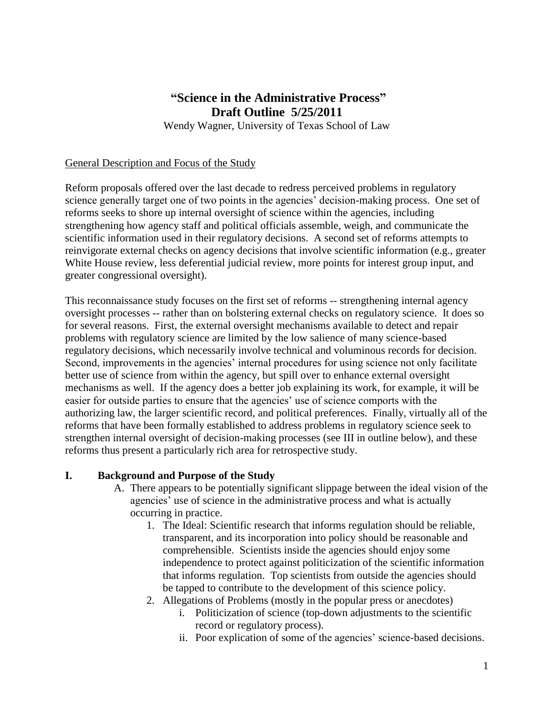# **"Science in the Administrative Process" Draft Outline 5/25/2011**

Wendy Wagner, University of Texas School of Law

#### General Description and Focus of the Study

Reform proposals offered over the last decade to redress perceived problems in regulatory science generally target one of two points in the agencies' decision-making process. One set of reforms seeks to shore up internal oversight of science within the agencies, including strengthening how agency staff and political officials assemble, weigh, and communicate the scientific information used in their regulatory decisions. A second set of reforms attempts to reinvigorate external checks on agency decisions that involve scientific information (e.g., greater White House review, less deferential judicial review, more points for interest group input, and greater congressional oversight).

This reconnaissance study focuses on the first set of reforms -- strengthening internal agency oversight processes -- rather than on bolstering external checks on regulatory science. It does so for several reasons. First, the external oversight mechanisms available to detect and repair problems with regulatory science are limited by the low salience of many science-based regulatory decisions, which necessarily involve technical and voluminous records for decision. Second, improvements in the agencies' internal procedures for using science not only facilitate better use of science from within the agency, but spill over to enhance external oversight mechanisms as well. If the agency does a better job explaining its work, for example, it will be easier for outside parties to ensure that the agencies' use of science comports with the authorizing law, the larger scientific record, and political preferences*.* Finally, virtually all of the reforms that have been formally established to address problems in regulatory science seek to strengthen internal oversight of decision-making processes (see III in outline below), and these reforms thus present a particularly rich area for retrospective study.

#### **I. Background and Purpose of the Study**

- A. There appears to be potentially significant slippage between the ideal vision of the agencies' use of science in the administrative process and what is actually occurring in practice.
	- 1. The Ideal: Scientific research that informs regulation should be reliable, transparent, and its incorporation into policy should be reasonable and comprehensible. Scientists inside the agencies should enjoy some independence to protect against politicization of the scientific information that informs regulation. Top scientists from outside the agencies should be tapped to contribute to the development of this science policy.
	- 2. Allegations of Problems (mostly in the popular press or anecdotes)
		- i. Politicization of science (top-down adjustments to the scientific record or regulatory process).
		- ii. Poor explication of some of the agencies' science-based decisions.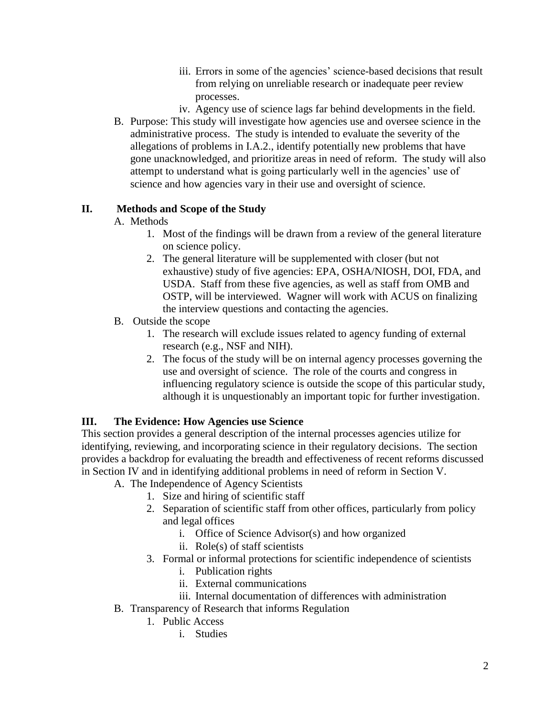- iii. Errors in some of the agencies' science-based decisions that result from relying on unreliable research or inadequate peer review processes.
- iv. Agency use of science lags far behind developments in the field.
- B. Purpose: This study will investigate how agencies use and oversee science in the administrative process. The study is intended to evaluate the severity of the allegations of problems in I.A.2., identify potentially new problems that have gone unacknowledged, and prioritize areas in need of reform. The study will also attempt to understand what is going particularly well in the agencies' use of science and how agencies vary in their use and oversight of science.

## **II. Methods and Scope of the Study**

## A. Methods

- 1. Most of the findings will be drawn from a review of the general literature on science policy.
- 2. The general literature will be supplemented with closer (but not exhaustive) study of five agencies: EPA, OSHA/NIOSH, DOI, FDA, and USDA. Staff from these five agencies, as well as staff from OMB and OSTP, will be interviewed. Wagner will work with ACUS on finalizing the interview questions and contacting the agencies.
- B. Outside the scope
	- 1. The research will exclude issues related to agency funding of external research (e.g., NSF and NIH).
	- 2. The focus of the study will be on internal agency processes governing the use and oversight of science. The role of the courts and congress in influencing regulatory science is outside the scope of this particular study, although it is unquestionably an important topic for further investigation.

## **III. The Evidence: How Agencies use Science**

This section provides a general description of the internal processes agencies utilize for identifying, reviewing, and incorporating science in their regulatory decisions. The section provides a backdrop for evaluating the breadth and effectiveness of recent reforms discussed in Section IV and in identifying additional problems in need of reform in Section V.

- A. The Independence of Agency Scientists
	- 1. Size and hiring of scientific staff
	- 2. Separation of scientific staff from other offices, particularly from policy and legal offices
		- i. Office of Science Advisor(s) and how organized
		- ii. Role(s) of staff scientists
	- 3. Formal or informal protections for scientific independence of scientists
		- i. Publication rights
		- ii. External communications
		- iii. Internal documentation of differences with administration
- B. Transparency of Research that informs Regulation
	- 1. Public Access
		- i. Studies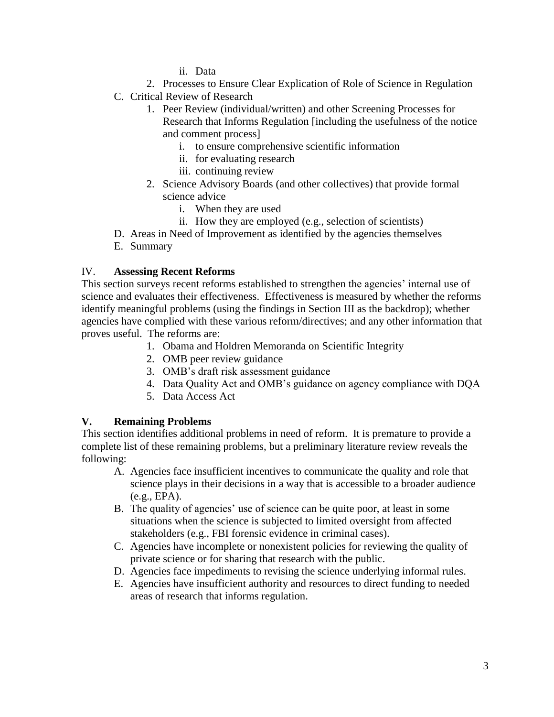- ii. Data
- 2. Processes to Ensure Clear Explication of Role of Science in Regulation
- C. Critical Review of Research
	- 1. Peer Review (individual/written) and other Screening Processes for Research that Informs Regulation [including the usefulness of the notice and comment process]
		- i. to ensure comprehensive scientific information
		- ii. for evaluating research
		- iii. continuing review
	- 2. Science Advisory Boards (and other collectives) that provide formal science advice
		- i. When they are used
		- ii. How they are employed (e.g., selection of scientists)
- D. Areas in Need of Improvement as identified by the agencies themselves
- E. Summary

#### IV. **Assessing Recent Reforms**

This section surveys recent reforms established to strengthen the agencies' internal use of science and evaluates their effectiveness. Effectiveness is measured by whether the reforms identify meaningful problems (using the findings in Section III as the backdrop); whether agencies have complied with these various reform/directives; and any other information that proves useful. The reforms are:

- 1. Obama and Holdren Memoranda on Scientific Integrity
- 2. OMB peer review guidance
- 3. OMB's draft risk assessment guidance
- 4. Data Quality Act and OMB's guidance on agency compliance with DQA
- 5. Data Access Act

## **V. Remaining Problems**

This section identifies additional problems in need of reform. It is premature to provide a complete list of these remaining problems, but a preliminary literature review reveals the following:

- A. Agencies face insufficient incentives to communicate the quality and role that science plays in their decisions in a way that is accessible to a broader audience (e.g., EPA).
- B. The quality of agencies' use of science can be quite poor, at least in some situations when the science is subjected to limited oversight from affected stakeholders (e.g., FBI forensic evidence in criminal cases).
- C. Agencies have incomplete or nonexistent policies for reviewing the quality of private science or for sharing that research with the public.
- D. Agencies face impediments to revising the science underlying informal rules.
- E. Agencies have insufficient authority and resources to direct funding to needed areas of research that informs regulation.